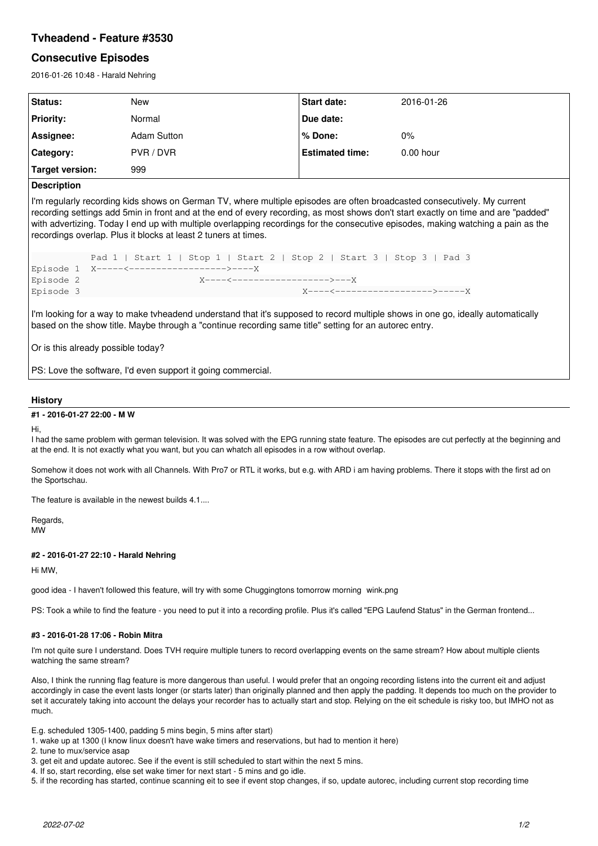# **Tvheadend - Feature #3530**

## **Consecutive Episodes**

2016-01-26 10:48 - Harald Nehring

| Status:          | New                | <b>Start date:</b>     | 2016-01-26  |
|------------------|--------------------|------------------------|-------------|
| <b>Priority:</b> | Normal             | Due date:              |             |
| Assignee:        | <b>Adam Sutton</b> | % Done:                | $0\%$       |
| Category:        | PVR / DVR          | <b>Estimated time:</b> | $0.00$ hour |
| Target version:  | 999                |                        |             |

## **Description**

I'm regularly recording kids shows on German TV, where multiple episodes are often broadcasted consecutively. My current recording settings add 5min in front and at the end of every recording, as most shows don't start exactly on time and are "padded" with advertizing. Today I end up with multiple overlapping recordings for the consecutive episodes, making watching a pain as the recordings overlap. Plus it blocks at least 2 tuners at times.

```
           Pad 1 | Start 1 | Stop 1 | Start 2 | Stop 2 | Start 3 | Stop 3 | Pad 3
Episode 1  X-----<------------------>----X
Episode 2                      X----<------------------>---X
Episode 3                                         X----<------------------>-----X
```
I'm looking for a way to make tvheadend understand that it's supposed to record multiple shows in one go, ideally automatically based on the show title. Maybe through a "continue recording same title" setting for an autorec entry.

Or is this already possible today?

PS: Love the software, I'd even support it going commercial.

### **History**

#### **#1 - 2016-01-27 22:00 - M W**

Hi,

I had the same problem with german television. It was solved with the EPG running state feature. The episodes are cut perfectly at the beginning and at the end. It is not exactly what you want, but you can whatch all episodes in a row without overlap.

Somehow it does not work with all Channels. With Pro7 or RTL it works, but e.g. with ARD i am having problems. There it stops with the first ad on the Sportschau.

The feature is available in the newest builds 4.1...

Regards, MW

### **#2 - 2016-01-27 22:10 - Harald Nehring**

Hi MW,

good idea - I haven't followed this feature, will try with some Chuggingtons tomorrow morning wink.png

PS: Took a while to find the feature - you need to put it into a recording profile. Plus it's called "EPG Laufend Status" in the German frontend...

#### **#3 - 2016-01-28 17:06 - Robin Mitra**

I'm not quite sure I understand. Does TVH require multiple tuners to record overlapping events on the same stream? How about multiple clients watching the same stream?

Also, I think the running flag feature is more dangerous than useful. I would prefer that an ongoing recording listens into the current eit and adjust accordingly in case the event lasts longer (or starts later) than originally planned and then apply the padding. It depends too much on the provider to set it accurately taking into account the delays your recorder has to actually start and stop. Relying on the eit schedule is risky too, but IMHO not as much.

E.g. scheduled 1305-1400, padding 5 mins begin, 5 mins after start)

1. wake up at 1300 (I know linux doesn't have wake timers and reservations, but had to mention it here)

2. tune to mux/service asap

- 3. get eit and update autorec. See if the event is still scheduled to start within the next 5 mins.
- 4. If so, start recording, else set wake timer for next start 5 mins and go idle.

5. if the recording has started, continue scanning eit to see if event stop changes, if so, update autorec, including current stop recording time